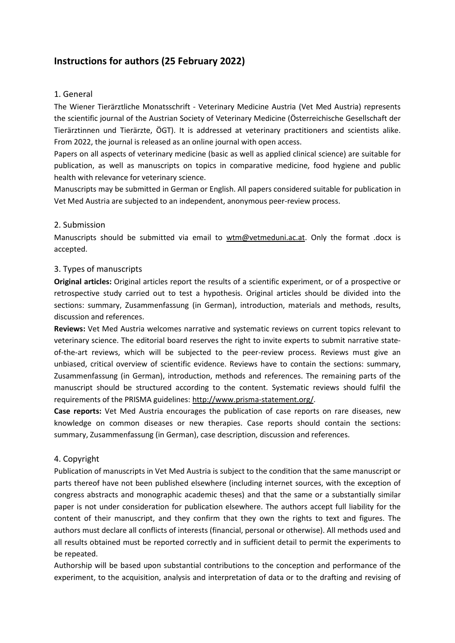# Instructions for authors (25 February 2022)

# 1. General

The Wiener Tierärztliche Monatsschrift - Veterinary Medicine Austria (Vet Med Austria) represents the scientific journal of the Austrian Society of Veterinary Medicine (Österreichische Gesellschaft der Tierärztinnen und Tierärzte, ÖGT). It is addressed at veterinary practitioners and scientists alike. From 2022, the journal is released as an online journal with open access.

Papers on all aspects of veterinary medicine (basic as well as applied clinical science) are suitable for publication, as well as manuscripts on topics in comparative medicine, food hygiene and public health with relevance for veterinary science.

Manuscripts may be submitted in German or English. All papers considered suitable for publication in Vet Med Austria are subjected to an independent, anonymous peer-review process.

### 2. Submission

Manuscripts should be submitted via email to wtm@vetmeduni.ac.at. Only the format .docx is accepted.

### 3. Types of manuscripts

Original articles: Original articles report the results of a scientific experiment, or of a prospective or retrospective study carried out to test a hypothesis. Original articles should be divided into the sections: summary, Zusammenfassung (in German), introduction, materials and methods, results, discussion and references.

Reviews: Vet Med Austria welcomes narrative and systematic reviews on current topics relevant to veterinary science. The editorial board reserves the right to invite experts to submit narrative stateof-the-art reviews, which will be subjected to the peer-review process. Reviews must give an unbiased, critical overview of scientific evidence. Reviews have to contain the sections: summary, Zusammenfassung (in German), introduction, methods and references. The remaining parts of the manuscript should be structured according to the content. Systematic reviews should fulfil the requirements of the PRISMA guidelines: http://www.prisma-statement.org/.

Case reports: Vet Med Austria encourages the publication of case reports on rare diseases, new knowledge on common diseases or new therapies. Case reports should contain the sections: summary, Zusammenfassung (in German), case description, discussion and references.

#### 4. Copyright

Publication of manuscripts in Vet Med Austria is subject to the condition that the same manuscript or parts thereof have not been published elsewhere (including internet sources, with the exception of congress abstracts and monographic academic theses) and that the same or a substantially similar paper is not under consideration for publication elsewhere. The authors accept full liability for the content of their manuscript, and they confirm that they own the rights to text and figures. The authors must declare all conflicts of interests (financial, personal or otherwise). All methods used and all results obtained must be reported correctly and in sufficient detail to permit the experiments to be repeated.

Authorship will be based upon substantial contributions to the conception and performance of the experiment, to the acquisition, analysis and interpretation of data or to the drafting and revising of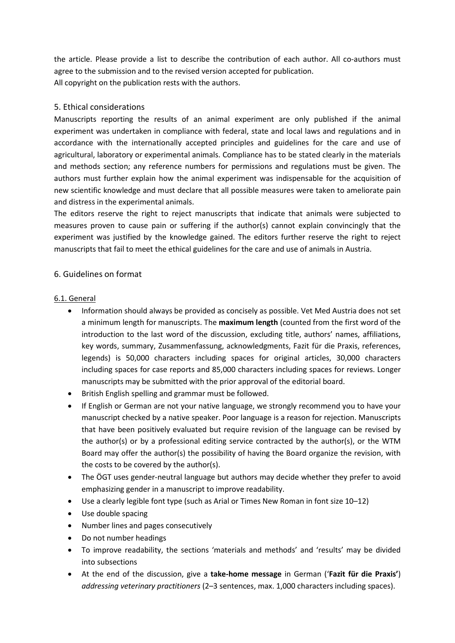the article. Please provide a list to describe the contribution of each author. All co-authors must agree to the submission and to the revised version accepted for publication. All copyright on the publication rests with the authors.

# 5. Ethical considerations

Manuscripts reporting the results of an animal experiment are only published if the animal experiment was undertaken in compliance with federal, state and local laws and regulations and in accordance with the internationally accepted principles and guidelines for the care and use of agricultural, laboratory or experimental animals. Compliance has to be stated clearly in the materials and methods section; any reference numbers for permissions and regulations must be given. The authors must further explain how the animal experiment was indispensable for the acquisition of new scientific knowledge and must declare that all possible measures were taken to ameliorate pain and distress in the experimental animals.

The editors reserve the right to reject manuscripts that indicate that animals were subjected to measures proven to cause pain or suffering if the author(s) cannot explain convincingly that the experiment was justified by the knowledge gained. The editors further reserve the right to reject manuscripts that fail to meet the ethical guidelines for the care and use of animals in Austria.

# 6. Guidelines on format

# 6.1. General

- Information should always be provided as concisely as possible. Vet Med Austria does not set a minimum length for manuscripts. The **maximum length** (counted from the first word of the introduction to the last word of the discussion, excluding title, authors' names, affiliations, key words, summary, Zusammenfassung, acknowledgments, Fazit für die Praxis, references, legends) is 50,000 characters including spaces for original articles, 30,000 characters including spaces for case reports and 85,000 characters including spaces for reviews. Longer manuscripts may be submitted with the prior approval of the editorial board.
- British English spelling and grammar must be followed.
- If English or German are not your native language, we strongly recommend you to have your manuscript checked by a native speaker. Poor language is a reason for rejection. Manuscripts that have been positively evaluated but require revision of the language can be revised by the author(s) or by a professional editing service contracted by the author(s), or the WTM Board may offer the author(s) the possibility of having the Board organize the revision, with the costs to be covered by the author(s).
- The ÖGT uses gender-neutral language but authors may decide whether they prefer to avoid emphasizing gender in a manuscript to improve readability.
- Use a clearly legible font type (such as Arial or Times New Roman in font size 10–12)
- Use double spacing
- Number lines and pages consecutively
- Do not number headings
- To improve readability, the sections 'materials and methods' and 'results' may be divided into subsections
- At the end of the discussion, give a take-home message in German ('Fazit für die Praxis') addressing veterinary practitioners (2–3 sentences, max. 1,000 characters including spaces).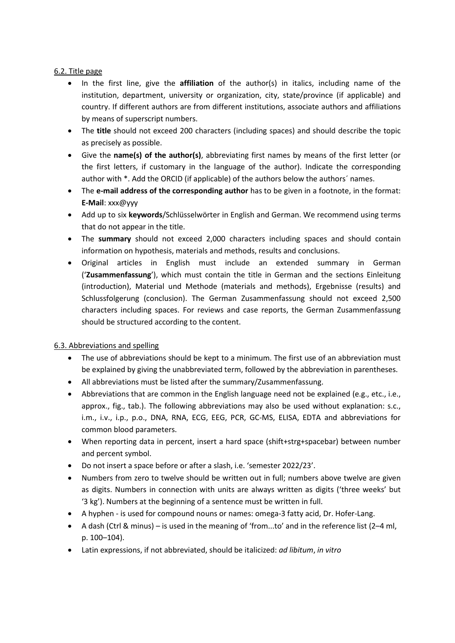# 6.2. Title page

- In the first line, give the **affiliation** of the author(s) in italics, including name of the institution, department, university or organization, city, state/province (if applicable) and country. If different authors are from different institutions, associate authors and affiliations by means of superscript numbers.
- The title should not exceed 200 characters (including spaces) and should describe the topic as precisely as possible.
- Give the name(s) of the author(s), abbreviating first names by means of the first letter (or the first letters, if customary in the language of the author). Indicate the corresponding author with \*. Add the ORCID (if applicable) of the authors below the authors´ names.
- The e-mail address of the corresponding author has to be given in a footnote, in the format: E-Mail: xxx@yyy
- Add up to six keywords/Schlüsselwörter in English and German. We recommend using terms that do not appear in the title.
- The summary should not exceed 2,000 characters including spaces and should contain information on hypothesis, materials and methods, results and conclusions.
- Original articles in English must include an extended summary in German ('Zusammenfassung'), which must contain the title in German and the sections Einleitung (introduction), Material und Methode (materials and methods), Ergebnisse (results) and Schlussfolgerung (conclusion). The German Zusammenfassung should not exceed 2,500 characters including spaces. For reviews and case reports, the German Zusammenfassung should be structured according to the content.

# 6.3. Abbreviations and spelling

- The use of abbreviations should be kept to a minimum. The first use of an abbreviation must be explained by giving the unabbreviated term, followed by the abbreviation in parentheses.
- All abbreviations must be listed after the summary/Zusammenfassung.
- Abbreviations that are common in the English language need not be explained (e.g., etc., i.e., approx., fig., tab.). The following abbreviations may also be used without explanation: s.c., i.m., i.v., i.p., p.o., DNA, RNA, ECG, EEG, PCR, GC-MS, ELISA, EDTA and abbreviations for common blood parameters.
- When reporting data in percent, insert a hard space (shift+strg+spacebar) between number and percent symbol.
- Do not insert a space before or after a slash, i.e. 'semester 2022/23'.
- Numbers from zero to twelve should be written out in full; numbers above twelve are given as digits. Numbers in connection with units are always written as digits ('three weeks' but '3 kg'). Numbers at the beginning of a sentence must be written in full.
- A hyphen is used for compound nouns or names: omega-3 fatty acid, Dr. Hofer-Lang.
- A dash (Ctrl & minus) is used in the meaning of 'from...to' and in the reference list (2–4 ml, p. 100–104).
- Latin expressions, if not abbreviated, should be italicized: ad libitum, in vitro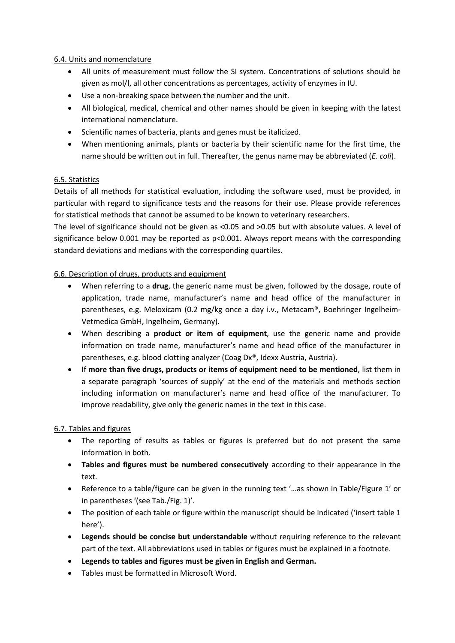# 6.4. Units and nomenclature

- All units of measurement must follow the SI system. Concentrations of solutions should be given as mol/l, all other concentrations as percentages, activity of enzymes in IU.
- Use a non-breaking space between the number and the unit.
- All biological, medical, chemical and other names should be given in keeping with the latest international nomenclature.
- Scientific names of bacteria, plants and genes must be italicized.
- When mentioning animals, plants or bacteria by their scientific name for the first time, the name should be written out in full. Thereafter, the genus name may be abbreviated (*E. coli*).

# 6.5. Statistics

Details of all methods for statistical evaluation, including the software used, must be provided, in particular with regard to significance tests and the reasons for their use. Please provide references for statistical methods that cannot be assumed to be known to veterinary researchers.

The level of significance should not be given as <0.05 and >0.05 but with absolute values. A level of significance below 0.001 may be reported as p<0.001. Always report means with the corresponding standard deviations and medians with the corresponding quartiles.

### 6.6. Description of drugs, products and equipment

- When referring to a drug, the generic name must be given, followed by the dosage, route of application, trade name, manufacturer's name and head office of the manufacturer in parentheses, e.g. Meloxicam (0.2 mg/kg once a day i.v., Metacam®, Boehringer Ingelheim-Vetmedica GmbH, Ingelheim, Germany).
- When describing a **product or item of equipment**, use the generic name and provide information on trade name, manufacturer's name and head office of the manufacturer in parentheses, e.g. blood clotting analyzer (Coag Dx®, Idexx Austria, Austria).
- If more than five drugs, products or items of equipment need to be mentioned, list them in a separate paragraph 'sources of supply' at the end of the materials and methods section including information on manufacturer's name and head office of the manufacturer. To improve readability, give only the generic names in the text in this case.

#### 6.7. Tables and figures

- The reporting of results as tables or figures is preferred but do not present the same information in both.
- Tables and figures must be numbered consecutively according to their appearance in the text.
- Reference to a table/figure can be given in the running text '…as shown in Table/Figure 1' or in parentheses '(see Tab./Fig. 1)'.
- The position of each table or figure within the manuscript should be indicated ('insert table 1 here').
- Legends should be concise but understandable without requiring reference to the relevant part of the text. All abbreviations used in tables or figures must be explained in a footnote.
- Legends to tables and figures must be given in English and German.
- Tables must be formatted in Microsoft Word.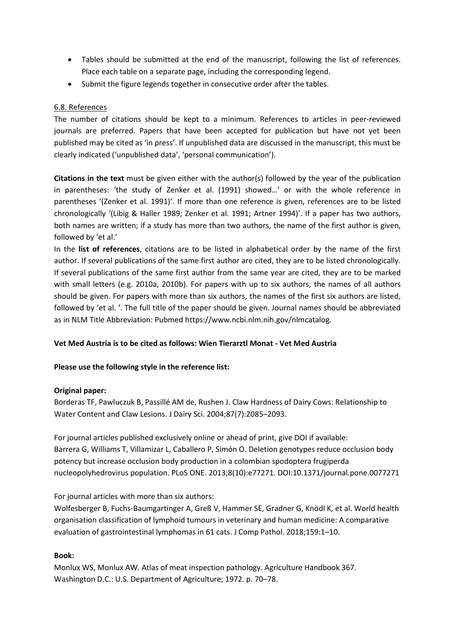- Tables should be submitted at the end of the manuscript, following the list of references. Place each table on a separate page, including the corresponding legend.
- Submit the figure legends together in consecutive order after the tables.

### 6.8. References

The number of citations should be kept to a minimum. References to articles in peer-reviewed journals are preferred. Papers that have been accepted for publication but have not yet been published may be cited as 'in press'. If unpublished data are discussed in the manuscript, this must be clearly indicated ('unpublished data', 'personal communication').

Citations in the text must be given either with the author(s) followed by the year of the publication in parentheses: 'the study of Zenker et al. (1991) showed…' or with the whole reference in parentheses '(Zenker et al. 1991)'. If more than one reference is given, references are to be listed chronologically '(Libig & Haller 1989; Zenker et al. 1991; Artner 1994)'. If a paper has two authors, both names are written; if a study has more than two authors, the name of the first author is given, followed by 'et al.'

In the list of references, citations are to be listed in alphabetical order by the name of the first author. If several publications of the same first author are cited, they are to be listed chronologically. If several publications of the same first author from the same year are cited, they are to be marked with small letters (e.g. 2010a, 2010b). For papers with up to six authors, the names of all authors should be given. For papers with more than six authors, the names of the first six authors are listed, followed by 'et al. '. The full title of the paper should be given. Journal names should be abbreviated as in NLM Title Abbreviation: Pubmed https://www.ncbi.nlm.nih.gov/nlmcatalog.

#### Vet Med Austria is to be cited as follows: Wien Tierarztl Monat - Vet Med Austria

#### Please use the following style in the reference list:

#### Original paper:

Borderas TF, Pawluczuk B, Passillé AM de, Rushen J. Claw Hardness of Dairy Cows: Relationship to Water Content and Claw Lesions. J Dairy Sci. 2004;87(7):2085–2093.

For journal articles published exclusively online or ahead of print, give DOI if available: Barrera G, Williams T, Villamizar L, Caballero P, Simón O. Deletion genotypes reduce occlusion body potency but increase occlusion body production in a colombian spodoptera frugiperda nucleopolyhedrovirus population. PLoS ONE. 2013;8(10):e77271. DOI:10.1371/journal.pone.0077271

#### For journal articles with more than six authors:

Wolfesberger B, Fuchs-Baumgartinger A, Greß V, Hammer SE, Gradner G, Knödl K, et al. World health organisation classification of lymphoid tumours in veterinary and human medicine: A comparative evaluation of gastrointestinal lymphomas in 61 cats. J Comp Pathol. 2018;159:1–10.

# Book:

Monlux WS, Monlux AW. Atlas of meat inspection pathology. Agriculture Handbook 367. Washington D.C.: U.S. Department of Agriculture; 1972. p. 70–78.